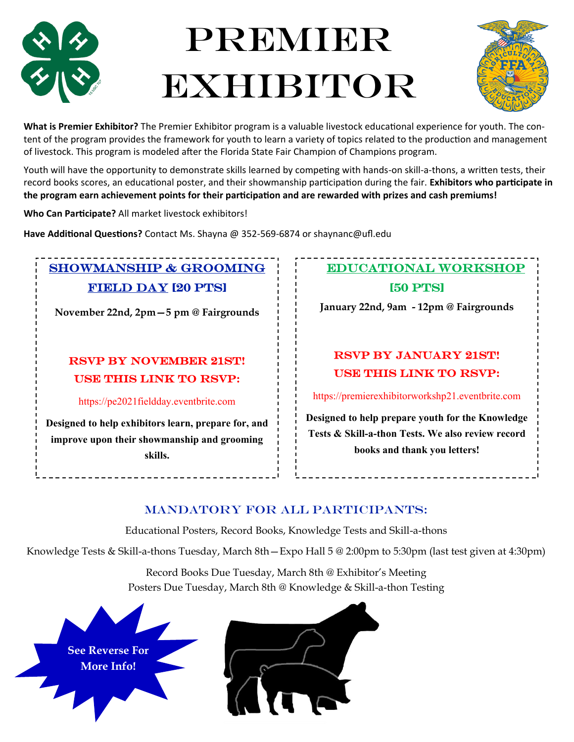

# **PREMIER** Exhibitor



**What is Premier Exhibitor?** The Premier Exhibitor program is a valuable livestock educational experience for youth. The content of the program provides the framework for youth to learn a variety of topics related to the production and management of livestock. This program is modeled after the Florida State Fair Champion of Champions program.

Youth will have the opportunity to demonstrate skills learned by competing with hands-on skill-a-thons, a written tests, their record books scores, an educational poster, and their showmanship participation during the fair. **Exhibitors who participate in the program earn achievement points for their participation and are rewarded with prizes and cash premiums!**

**Who Can Participate?** All market livestock exhibitors!

**Have Additional Questions?** Contact Ms. Shayna @ 352-569-6874 or shaynanc@ufl.edu

### Showmanship & grooming Field Day [20 PTS]

**November 22nd, 2pm—5 pm @ Fairgrounds** 

### RSVP BY NOVEMBER 21ST! USE THIS LINK TO RSVP:

https://pe2021fieldday.eventbrite.com

**Designed to help exhibitors learn, prepare for, and improve upon their showmanship and grooming skills.**

### educational Workshop

[50 PTS]

**January 22nd, 9am - 12pm @ Fairgrounds** 

### RSVP BY JANUARY 21ST! USE THIS LINK TO RSVP:

https://premierexhibitorworkshp21.eventbrite.com

**Designed to help prepare youth for the Knowledge Tests & Skill-a-thon Tests. We also review record books and thank you letters!** 

### Mandatory for All Participants:

Educational Posters, Record Books, Knowledge Tests and Skill-a-thons

Knowledge Tests & Skill-a-thons Tuesday, March 8th—Expo Hall 5 @ 2:00pm to 5:30pm (last test given at 4:30pm)

Record Books Due Tuesday, March 8th @ Exhibitor's Meeting Posters Due Tuesday, March 8th @ Knowledge & Skill-a-thon Testing